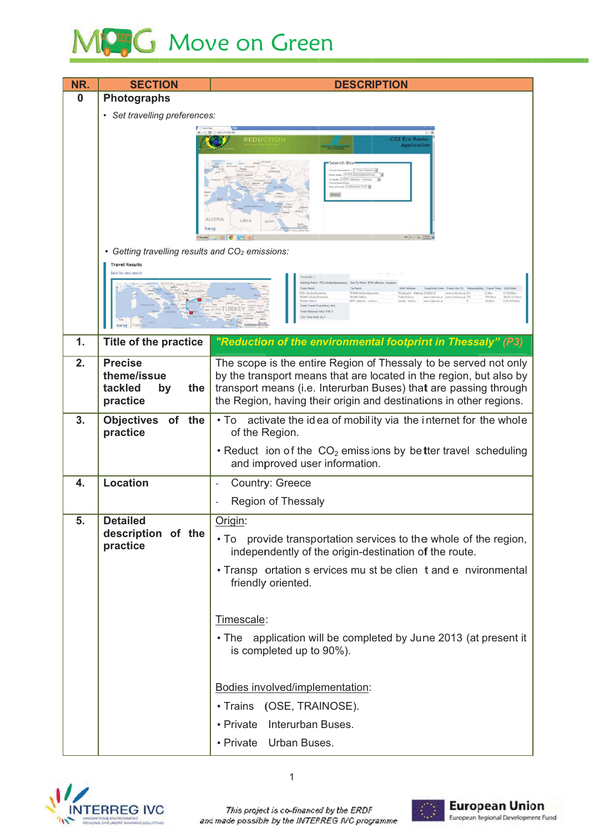## MPG Move on Green

| NR.           | <b>SECTION</b>                                                                                                                                                                                                                                                                                                                                                                                                                                              | <b>DESCRIPTION</b>                                                                                                                                                                                                                                                               |  |
|---------------|-------------------------------------------------------------------------------------------------------------------------------------------------------------------------------------------------------------------------------------------------------------------------------------------------------------------------------------------------------------------------------------------------------------------------------------------------------------|----------------------------------------------------------------------------------------------------------------------------------------------------------------------------------------------------------------------------------------------------------------------------------|--|
| 0             | Photographs                                                                                                                                                                                                                                                                                                                                                                                                                                                 |                                                                                                                                                                                                                                                                                  |  |
|               | • Set travelling preferences:                                                                                                                                                                                                                                                                                                                                                                                                                               |                                                                                                                                                                                                                                                                                  |  |
|               | <b>CO2 Eco Rout</b><br><b>Application</b><br>ALGERIA<br>LIBYA<br><b>IN A CO WE</b><br>• Getting travelling results and CO <sub>2</sub> emissions:<br><b>Travel Results</b><br>Back for new search<br>Sturting Palet: ITEA AluEav&poimiko End Ta Palet: ICTA Allmün - A<br>To Point:<br>Frian Point:<br>COI Kilu<br>TRAIND AN Elec-<br>0 CO2 Kilon<br>CTES Alafands<br>ReGorogio - Walking 251404133<br>Invehicle California<br>38.45 CC2 Hillis<br>779 Hins |                                                                                                                                                                                                                                                                                  |  |
|               |                                                                                                                                                                                                                                                                                                                                                                                                                                                             | <b>LINO ARA</b><br><b>KTEA</b> Admin.<br>9,95 CO2 Kilas<br>nce Hillst: 778.3                                                                                                                                                                                                     |  |
| $\mathbf 1$ . | <b>Title of the practice</b>                                                                                                                                                                                                                                                                                                                                                                                                                                | "Reduction of the environmental footprint in Thessaly" (P3)                                                                                                                                                                                                                      |  |
| 2.            | <b>Precise</b><br>theme/issue<br>tackled<br>the<br>by<br>practice                                                                                                                                                                                                                                                                                                                                                                                           | The scope is the entire Region of Thessaly to be served not only<br>by the transport means that are located in the region, but also by<br>transport means (i.e. Interurban Buses) that are passing through<br>the Region, having their origin and destinations in other regions. |  |
| 3.            | <b>Objectives</b><br>of the                                                                                                                                                                                                                                                                                                                                                                                                                                 | • To activate the idea of mobility via the internet for the whole                                                                                                                                                                                                                |  |
|               | practice                                                                                                                                                                                                                                                                                                                                                                                                                                                    | of the Region.                                                                                                                                                                                                                                                                   |  |
|               |                                                                                                                                                                                                                                                                                                                                                                                                                                                             | • Reduct ion of the $CO2$ emissions by better travel scheduling<br>and improved user information.                                                                                                                                                                                |  |
| 4.            | Location                                                                                                                                                                                                                                                                                                                                                                                                                                                    | <b>Country: Greece</b>                                                                                                                                                                                                                                                           |  |
|               |                                                                                                                                                                                                                                                                                                                                                                                                                                                             | Region of Thessaly                                                                                                                                                                                                                                                               |  |
| 5.            | <b>Detailed</b>                                                                                                                                                                                                                                                                                                                                                                                                                                             | Origin:                                                                                                                                                                                                                                                                          |  |
|               | description of the<br>practice                                                                                                                                                                                                                                                                                                                                                                                                                              | $\cdot$ To<br>provide transportation services to the whole of the region,<br>independently of the origin-destination of the route.                                                                                                                                               |  |
|               |                                                                                                                                                                                                                                                                                                                                                                                                                                                             | • Transp ortation s ervices mu st be clien t and e nvironmental<br>friendly oriented.                                                                                                                                                                                            |  |
|               |                                                                                                                                                                                                                                                                                                                                                                                                                                                             | Timescale:                                                                                                                                                                                                                                                                       |  |
|               |                                                                                                                                                                                                                                                                                                                                                                                                                                                             | • The application will be completed by June 2013 (at present it<br>is completed up to 90%).                                                                                                                                                                                      |  |
|               |                                                                                                                                                                                                                                                                                                                                                                                                                                                             | Bodies involved/implementation:                                                                                                                                                                                                                                                  |  |
|               |                                                                                                                                                                                                                                                                                                                                                                                                                                                             | • Trains (OSE, TRAINOSE).                                                                                                                                                                                                                                                        |  |
|               |                                                                                                                                                                                                                                                                                                                                                                                                                                                             | • Private Interurban Buses.                                                                                                                                                                                                                                                      |  |
|               |                                                                                                                                                                                                                                                                                                                                                                                                                                                             | • Private Urban Buses.                                                                                                                                                                                                                                                           |  |
|               |                                                                                                                                                                                                                                                                                                                                                                                                                                                             |                                                                                                                                                                                                                                                                                  |  |